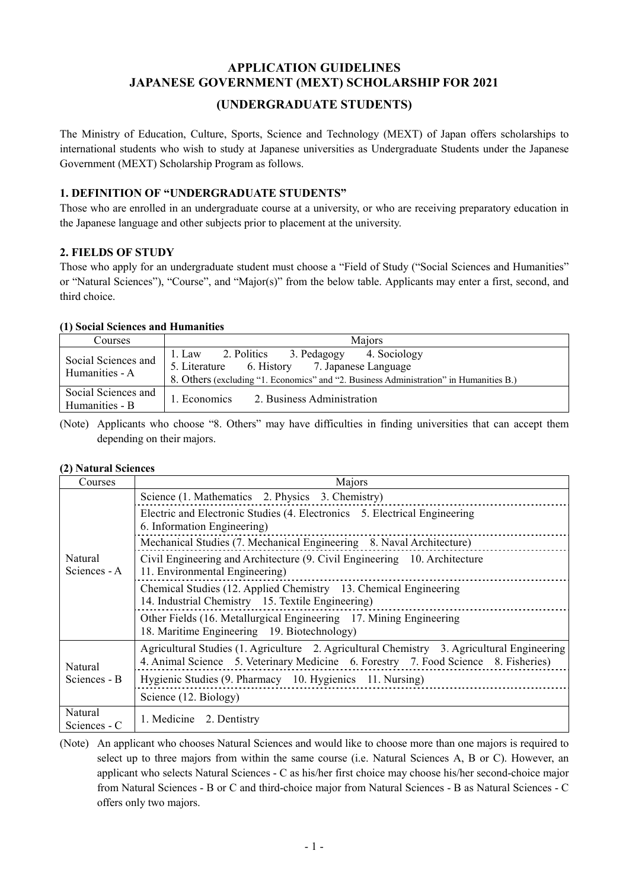# **APPLICATION GUIDELINES JAPANESE GOVERNMENT (MEXT) SCHOLARSHIP FOR 2021**

# **(UNDERGRADUATE STUDENTS)**

The Ministry of Education, Culture, Sports, Science and Technology (MEXT) of Japan offers scholarships to international students who wish to study at Japanese universities as Undergraduate Students under the Japanese Government (MEXT) Scholarship Program as follows.

## **1. DEFINITION OF "UNDERGRADUATE STUDENTS"**

Those who are enrolled in an undergraduate course at a university, or who are receiving preparatory education in the Japanese language and other subjects prior to placement at the university.

## **2. FIELDS OF STUDY**

Those who apply for an undergraduate student must choose a "Field of Study ("Social Sciences and Humanities" or "Natural Sciences"), "Course", and "Major(s)" from the below table. Applicants may enter a first, second, and third choice.

#### **(1) Social Sciences and Humanities**

| Courses                               | Maiors                                                                                                                                                                                       |  |  |  |  |  |
|---------------------------------------|----------------------------------------------------------------------------------------------------------------------------------------------------------------------------------------------|--|--|--|--|--|
| Social Sciences and<br>Humanities - A | 2. Politics 3. Pedagogy<br>4. Sociology<br>1. Law<br>5. Literature 6. History 7. Japanese Language<br>8. Others (excluding "1. Economics" and "2. Business Administration" in Humanities B.) |  |  |  |  |  |
| Social Sciences and<br>Humanities - B | 2. Business Administration<br>1. Economics                                                                                                                                                   |  |  |  |  |  |

(Note) Applicants who choose "8. Others" may have difficulties in finding universities that can accept them depending on their majors.

#### **(2) Natural Sciences**

| Courses                 | Majors                                                                                                                                                                           |  |  |  |  |  |
|-------------------------|----------------------------------------------------------------------------------------------------------------------------------------------------------------------------------|--|--|--|--|--|
|                         | Science (1. Mathematics 2. Physics 3. Chemistry)                                                                                                                                 |  |  |  |  |  |
|                         | Electric and Electronic Studies (4. Electronics 5. Electrical Engineering<br>6. Information Engineering)                                                                         |  |  |  |  |  |
|                         | Mechanical Studies (7. Mechanical Engineering 8. Naval Architecture)                                                                                                             |  |  |  |  |  |
| Natural<br>Sciences - A | Civil Engineering and Architecture (9. Civil Engineering 10. Architecture<br>11. Environmental Engineering)                                                                      |  |  |  |  |  |
|                         | Chemical Studies (12. Applied Chemistry 13. Chemical Engineering<br>14. Industrial Chemistry 15. Textile Engineering)                                                            |  |  |  |  |  |
|                         | Other Fields (16. Metallurgical Engineering 17. Mining Engineering<br>18. Maritime Engineering 19. Biotechnology)                                                                |  |  |  |  |  |
| Natural                 | Agricultural Studies (1. Agriculture 2. Agricultural Chemistry 3. Agricultural Engineering<br>4. Animal Science 5. Veterinary Medicine 6. Forestry 7. Food Science 8. Fisheries) |  |  |  |  |  |
| Sciences - B            | Hygienic Studies (9. Pharmacy 10. Hygienics 11. Nursing)                                                                                                                         |  |  |  |  |  |
|                         | Science (12. Biology)                                                                                                                                                            |  |  |  |  |  |
| Natural<br>Sciences - C | 1. Medicine 2. Dentistry                                                                                                                                                         |  |  |  |  |  |

(Note) An applicant who chooses Natural Sciences and would like to choose more than one majors is required to select up to three majors from within the same course (i.e. Natural Sciences A, B or C). However, an applicant who selects Natural Sciences - C as his/her first choice may choose his/her second-choice major from Natural Sciences - B or C and third-choice major from Natural Sciences - B as Natural Sciences - C offers only two majors.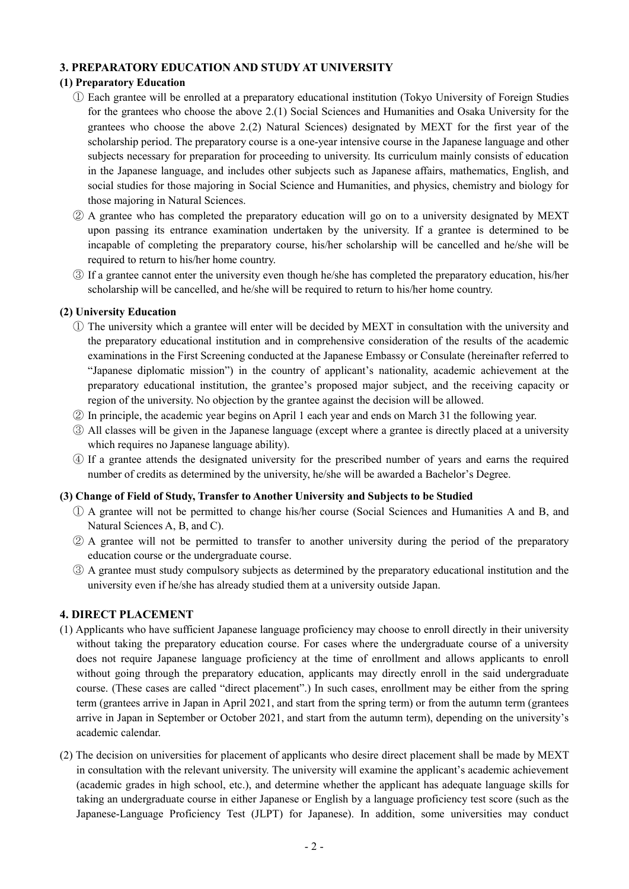## **3. PREPARATORY EDUCATION AND STUDY AT UNIVERSITY**

## **(1) Preparatory Education**

- ① Each grantee will be enrolled at a preparatory educational institution (Tokyo University of Foreign Studies for the grantees who choose the above 2.(1) Social Sciences and Humanities and Osaka University for the grantees who choose the above 2.(2) Natural Sciences) designated by MEXT for the first year of the scholarship period. The preparatory course is a one-year intensive course in the Japanese language and other subjects necessary for preparation for proceeding to university. Its curriculum mainly consists of education in the Japanese language, and includes other subjects such as Japanese affairs, mathematics, English, and social studies for those majoring in Social Science and Humanities, and physics, chemistry and biology for those majoring in Natural Sciences.
- ② A grantee who has completed the preparatory education will go on to a university designated by MEXT upon passing its entrance examination undertaken by the university. If a grantee is determined to be incapable of completing the preparatory course, his/her scholarship will be cancelled and he/she will be required to return to his/her home country.
- ③ If a grantee cannot enter the university even though he/she has completed the preparatory education, his/her scholarship will be cancelled, and he/she will be required to return to his/her home country.

## **(2) University Education**

- ① The university which a grantee will enter will be decided by MEXT in consultation with the university and the preparatory educational institution and in comprehensive consideration of the results of the academic examinations in the First Screening conducted at the Japanese Embassy or Consulate (hereinafter referred to "Japanese diplomatic mission") in the country of applicant's nationality, academic achievement at the preparatory educational institution, the grantee's proposed major subject, and the receiving capacity or region of the university. No objection by the grantee against the decision will be allowed.
- ② In principle, the academic year begins on April 1 each year and ends on March 31 the following year.
- ③ All classes will be given in the Japanese language (except where a grantee is directly placed at a university which requires no Japanese language ability).
- ④ If a grantee attends the designated university for the prescribed number of years and earns the required number of credits as determined by the university, he/she will be awarded a Bachelor's Degree.

#### **(3) Change of Field of Study, Transfer to Another University and Subjects to be Studied**

- ① A grantee will not be permitted to change his/her course (Social Sciences and Humanities A and B, and Natural Sciences A, B, and C).
- ② A grantee will not be permitted to transfer to another university during the period of the preparatory education course or the undergraduate course.
- ③ A grantee must study compulsory subjects as determined by the preparatory educational institution and the university even if he/she has already studied them at a university outside Japan.

#### **4. DIRECT PLACEMENT**

- (1) Applicants who have sufficient Japanese language proficiency may choose to enroll directly in their university without taking the preparatory education course. For cases where the undergraduate course of a university does not require Japanese language proficiency at the time of enrollment and allows applicants to enroll without going through the preparatory education, applicants may directly enroll in the said undergraduate course. (These cases are called "direct placement".) In such cases, enrollment may be either from the spring term (grantees arrive in Japan in April 2021, and start from the spring term) or from the autumn term (grantees arrive in Japan in September or October 2021, and start from the autumn term), depending on the university's academic calendar.
- (2) The decision on universities for placement of applicants who desire direct placement shall be made by MEXT in consultation with the relevant university. The university will examine the applicant's academic achievement (academic grades in high school, etc.), and determine whether the applicant has adequate language skills for taking an undergraduate course in either Japanese or English by a language proficiency test score (such as the Japanese-Language Proficiency Test (JLPT) for Japanese). In addition, some universities may conduct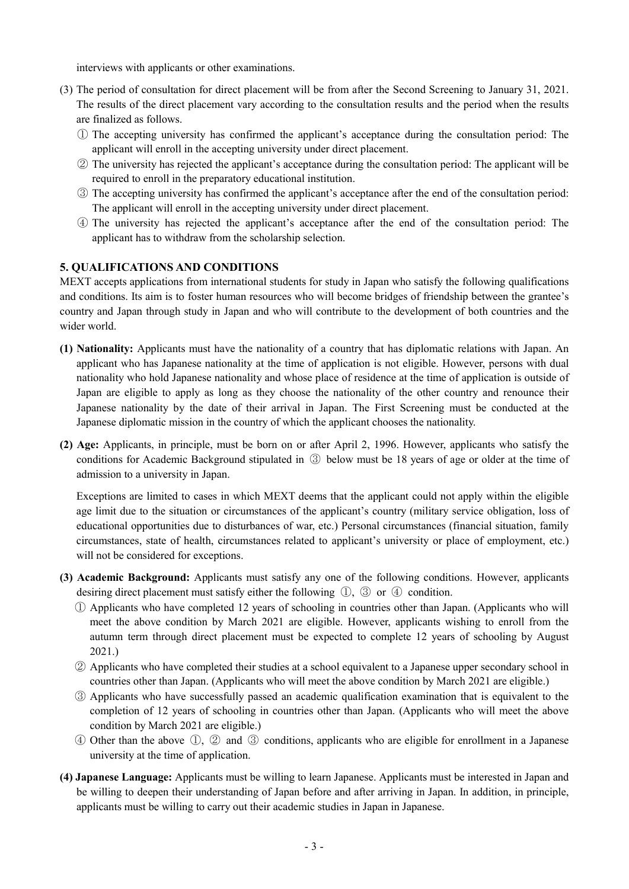interviews with applicants or other examinations.

- (3) The period of consultation for direct placement will be from after the Second Screening to January 31, 2021. The results of the direct placement vary according to the consultation results and the period when the results are finalized as follows.
	- ① The accepting university has confirmed the applicant's acceptance during the consultation period: The applicant will enroll in the accepting university under direct placement.
	- ② The university has rejected the applicant's acceptance during the consultation period: The applicant will be required to enroll in the preparatory educational institution.
	- ③ The accepting university has confirmed the applicant's acceptance after the end of the consultation period: The applicant will enroll in the accepting university under direct placement.
	- ④ The university has rejected the applicant's acceptance after the end of the consultation period: The applicant has to withdraw from the scholarship selection.

## **5. QUALIFICATIONS AND CONDITIONS**

MEXT accepts applications from international students for study in Japan who satisfy the following qualifications and conditions. Its aim is to foster human resources who will become bridges of friendship between the grantee's country and Japan through study in Japan and who will contribute to the development of both countries and the wider world.

- **(1) Nationality:** Applicants must have the nationality of a country that has diplomatic relations with Japan. An applicant who has Japanese nationality at the time of application is not eligible. However, persons with dual nationality who hold Japanese nationality and whose place of residence at the time of application is outside of Japan are eligible to apply as long as they choose the nationality of the other country and renounce their Japanese nationality by the date of their arrival in Japan. The First Screening must be conducted at the Japanese diplomatic mission in the country of which the applicant chooses the nationality.
- **(2) Age:** Applicants, in principle, must be born on or after April 2, 1996. However, applicants who satisfy the conditions for Academic Background stipulated in ③ below must be 18 years of age or older at the time of admission to a university in Japan.

Exceptions are limited to cases in which MEXT deems that the applicant could not apply within the eligible age limit due to the situation or circumstances of the applicant's country (military service obligation, loss of educational opportunities due to disturbances of war, etc.) Personal circumstances (financial situation, family circumstances, state of health, circumstances related to applicant's university or place of employment, etc.) will not be considered for exceptions.

- **(3) Academic Background:** Applicants must satisfy any one of the following conditions. However, applicants desiring direct placement must satisfy either the following  $(1)$ ,  $(3)$  or  $(4)$  condition.
	- ① Applicants who have completed 12 years of schooling in countries other than Japan. (Applicants who will meet the above condition by March 2021 are eligible. However, applicants wishing to enroll from the autumn term through direct placement must be expected to complete 12 years of schooling by August 2021.)
	- ② Applicants who have completed their studies at a school equivalent to a Japanese upper secondary school in countries other than Japan. (Applicants who will meet the above condition by March 2021 are eligible.)
	- ③ Applicants who have successfully passed an academic qualification examination that is equivalent to the completion of 12 years of schooling in countries other than Japan. (Applicants who will meet the above condition by March 2021 are eligible.)
	- ④ Other than the above ①, ② and ③ conditions, applicants who are eligible for enrollment in a Japanese university at the time of application.
- **(4) Japanese Language:** Applicants must be willing to learn Japanese. Applicants must be interested in Japan and be willing to deepen their understanding of Japan before and after arriving in Japan. In addition, in principle, applicants must be willing to carry out their academic studies in Japan in Japanese.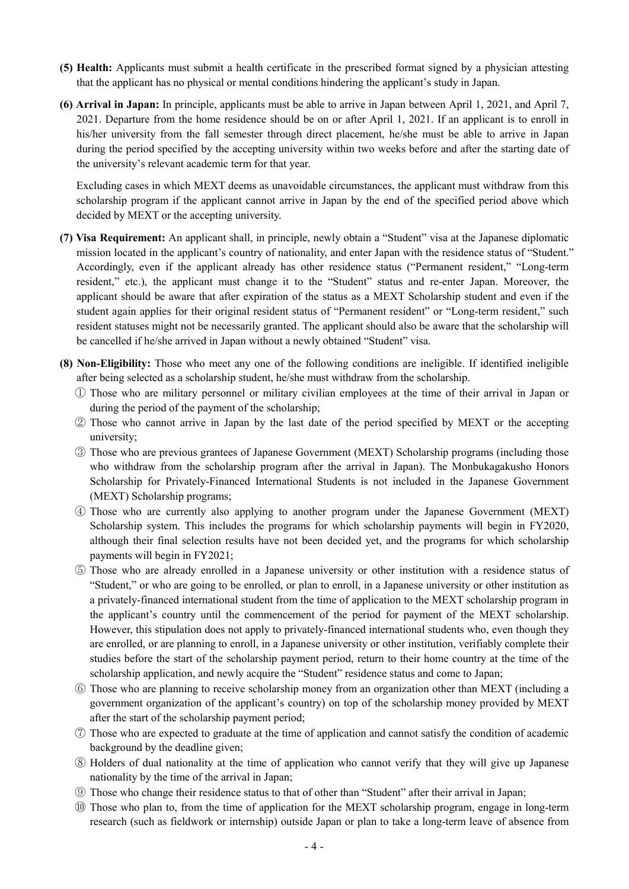- **(5) Health:** Applicants must submit a health certificate in the prescribed format signed by a physician attesting that the applicant has no physical or mental conditions hindering the applicant's study in Japan.
- **(6) Arrival in Japan:** In principle, applicants must be able to arrive in Japan between April 1, 2021, and April 7, 2021. Departure from the home residence should be on or after April 1, 2021. If an applicant is to enroll in his/her university from the fall semester through direct placement, he/she must be able to arrive in Japan during the period specified by the accepting university within two weeks before and after the starting date of the university's relevant academic term for that year.

Excluding cases in which MEXT deems as unavoidable circumstances, the applicant must withdraw from this scholarship program if the applicant cannot arrive in Japan by the end of the specified period above which decided by MEXT or the accepting university.

- **(7) Visa Requirement:** An applicant shall, in principle, newly obtain a "Student" visa at the Japanese diplomatic mission located in the applicant's country of nationality, and enter Japan with the residence status of "Student." Accordingly, even if the applicant already has other residence status ("Permanent resident," "Long-term resident," etc.), the applicant must change it to the "Student" status and re-enter Japan. Moreover, the applicant should be aware that after expiration of the status as a MEXT Scholarship student and even if the student again applies for their original resident status of "Permanent resident" or "Long-term resident," such resident statuses might not be necessarily granted. The applicant should also be aware that the scholarship will be cancelled if he/she arrived in Japan without a newly obtained "Student" visa.
- **(8) Non-Eligibility:** Those who meet any one of the following conditions are ineligible. If identified ineligible after being selected as a scholarship student, he/she must withdraw from the scholarship.
	- ① Those who are military personnel or military civilian employees at the time of their arrival in Japan or during the period of the payment of the scholarship;
	- ② Those who cannot arrive in Japan by the last date of the period specified by MEXT or the accepting university;
	- ③ Those who are previous grantees of Japanese Government (MEXT) Scholarship programs (including those who withdraw from the scholarship program after the arrival in Japan). The Monbukagakusho Honors Scholarship for Privately-Financed International Students is not included in the Japanese Government (MEXT) Scholarship programs;
	- ④ Those who are currently also applying to another program under the Japanese Government (MEXT) Scholarship system. This includes the programs for which scholarship payments will begin in FY2020, although their final selection results have not been decided yet, and the programs for which scholarship payments will begin in FY2021;
	- ⑤ Those who are already enrolled in a Japanese university or other institution with a residence status of "Student," or who are going to be enrolled, or plan to enroll, in a Japanese university or other institution as a privately-financed international student from the time of application to the MEXT scholarship program in the applicant's country until the commencement of the period for payment of the MEXT scholarship. However, this stipulation does not apply to privately-financed international students who, even though they are enrolled, or are planning to enroll, in a Japanese university or other institution, verifiably complete their studies before the start of the scholarship payment period, return to their home country at the time of the scholarship application, and newly acquire the "Student" residence status and come to Japan;
	- ⑥ Those who are planning to receive scholarship money from an organization other than MEXT (including a government organization of the applicant's country) on top of the scholarship money provided by MEXT after the start of the scholarship payment period;
	- ⑦ Those who are expected to graduate at the time of application and cannot satisfy the condition of academic background by the deadline given;
	- ⑧ Holders of dual nationality at the time of application who cannot verify that they will give up Japanese nationality by the time of the arrival in Japan;
	- ⑨ Those who change their residence status to that of other than "Student" after their arrival in Japan;
	- ⑩ Those who plan to, from the time of application for the MEXT scholarship program, engage in long-term research (such as fieldwork or internship) outside Japan or plan to take a long-term leave of absence from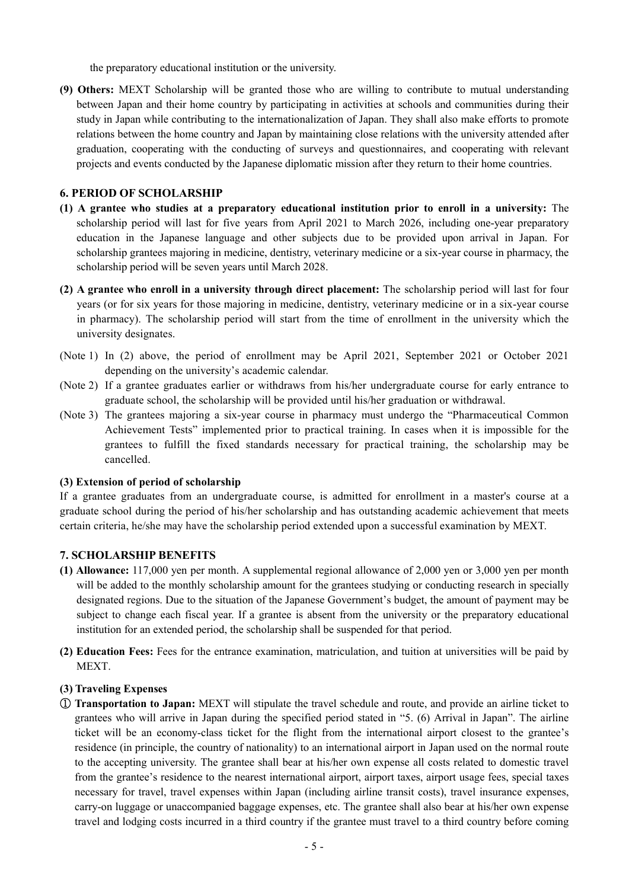the preparatory educational institution or the university.

**(9) Others:** MEXT Scholarship will be granted those who are willing to contribute to mutual understanding between Japan and their home country by participating in activities at schools and communities during their study in Japan while contributing to the internationalization of Japan. They shall also make efforts to promote relations between the home country and Japan by maintaining close relations with the university attended after graduation, cooperating with the conducting of surveys and questionnaires, and cooperating with relevant projects and events conducted by the Japanese diplomatic mission after they return to their home countries.

### **6. PERIOD OF SCHOLARSHIP**

- **(1) A grantee who studies at a preparatory educational institution prior to enroll in a university:** The scholarship period will last for five years from April 2021 to March 2026, including one-year preparatory education in the Japanese language and other subjects due to be provided upon arrival in Japan. For scholarship grantees majoring in medicine, dentistry, veterinary medicine or a six-year course in pharmacy, the scholarship period will be seven years until March 2028.
- **(2) A grantee who enroll in a university through direct placement:** The scholarship period will last for four years (or for six years for those majoring in medicine, dentistry, veterinary medicine or in a six-year course in pharmacy). The scholarship period will start from the time of enrollment in the university which the university designates.
- (Note 1) In (2) above, the period of enrollment may be April 2021, September 2021 or October 2021 depending on the university's academic calendar.
- (Note 2) If a grantee graduates earlier or withdraws from his/her undergraduate course for early entrance to graduate school, the scholarship will be provided until his/her graduation or withdrawal.
- (Note 3) The grantees majoring a six-year course in pharmacy must undergo the "Pharmaceutical Common Achievement Tests" implemented prior to practical training. In cases when it is impossible for the grantees to fulfill the fixed standards necessary for practical training, the scholarship may be cancelled.

#### **(3) Extension of period of scholarship**

If a grantee graduates from an undergraduate course, is admitted for enrollment in a master's course at a graduate school during the period of his/her scholarship and has outstanding academic achievement that meets certain criteria, he/she may have the scholarship period extended upon a successful examination by MEXT.

### **7. SCHOLARSHIP BENEFITS**

- **(1) Allowance:** 117,000 yen per month. A supplemental regional allowance of 2,000 yen or 3,000 yen per month will be added to the monthly scholarship amount for the grantees studying or conducting research in specially designated regions. Due to the situation of the Japanese Government's budget, the amount of payment may be subject to change each fiscal year. If a grantee is absent from the university or the preparatory educational institution for an extended period, the scholarship shall be suspended for that period.
- **(2) Education Fees:** Fees for the entrance examination, matriculation, and tuition at universities will be paid by MEXT.

#### **(3) Traveling Expenses**

① **Transportation to Japan:** MEXT will stipulate the travel schedule and route, and provide an airline ticket to grantees who will arrive in Japan during the specified period stated in "5. (6) Arrival in Japan". The airline ticket will be an economy-class ticket for the flight from the international airport closest to the grantee's residence (in principle, the country of nationality) to an international airport in Japan used on the normal route to the accepting university. The grantee shall bear at his/her own expense all costs related to domestic travel from the grantee's residence to the nearest international airport, airport taxes, airport usage fees, special taxes necessary for travel, travel expenses within Japan (including airline transit costs), travel insurance expenses, carry-on luggage or unaccompanied baggage expenses, etc. The grantee shall also bear at his/her own expense travel and lodging costs incurred in a third country if the grantee must travel to a third country before coming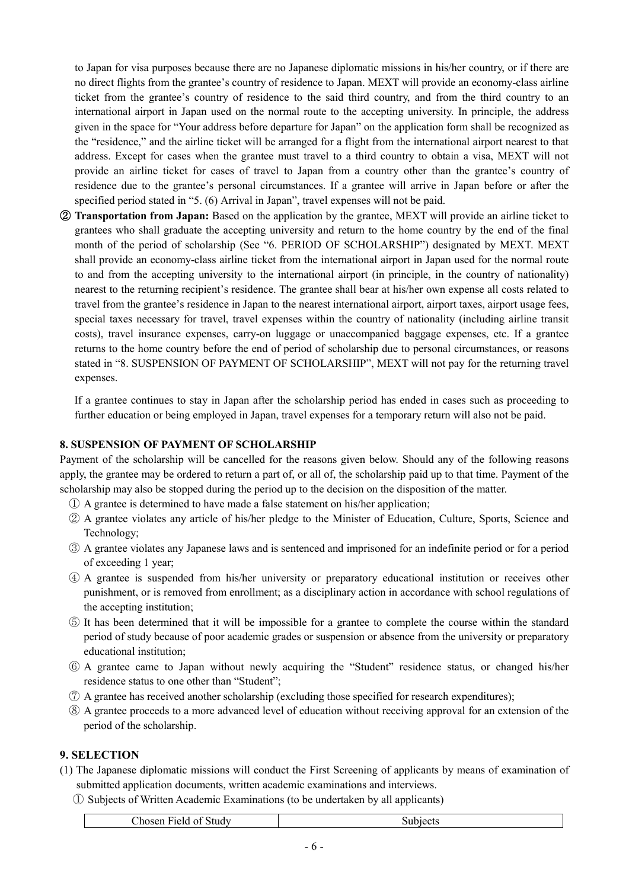to Japan for visa purposes because there are no Japanese diplomatic missions in his/her country, or if there are no direct flights from the grantee's country of residence to Japan. MEXT will provide an economy-class airline ticket from the grantee's country of residence to the said third country, and from the third country to an international airport in Japan used on the normal route to the accepting university. In principle, the address given in the space for "Your address before departure for Japan" on the application form shall be recognized as the "residence," and the airline ticket will be arranged for a flight from the international airport nearest to that address. Except for cases when the grantee must travel to a third country to obtain a visa, MEXT will not provide an airline ticket for cases of travel to Japan from a country other than the grantee's country of residence due to the grantee's personal circumstances. If a grantee will arrive in Japan before or after the specified period stated in "5. (6) Arrival in Japan", travel expenses will not be paid.

② **Transportation from Japan:** Based on the application by the grantee, MEXT will provide an airline ticket to grantees who shall graduate the accepting university and return to the home country by the end of the final month of the period of scholarship (See "6. PERIOD OF SCHOLARSHIP") designated by MEXT. MEXT shall provide an economy-class airline ticket from the international airport in Japan used for the normal route to and from the accepting university to the international airport (in principle, in the country of nationality) nearest to the returning recipient's residence. The grantee shall bear at his/her own expense all costs related to travel from the grantee's residence in Japan to the nearest international airport, airport taxes, airport usage fees, special taxes necessary for travel, travel expenses within the country of nationality (including airline transit costs), travel insurance expenses, carry-on luggage or unaccompanied baggage expenses, etc. If a grantee returns to the home country before the end of period of scholarship due to personal circumstances, or reasons stated in "8. SUSPENSION OF PAYMENT OF SCHOLARSHIP", MEXT will not pay for the returning travel expenses.

If a grantee continues to stay in Japan after the scholarship period has ended in cases such as proceeding to further education or being employed in Japan, travel expenses for a temporary return will also not be paid.

#### **8. SUSPENSION OF PAYMENT OF SCHOLARSHIP**

Payment of the scholarship will be cancelled for the reasons given below. Should any of the following reasons apply, the grantee may be ordered to return a part of, or all of, the scholarship paid up to that time. Payment of the scholarship may also be stopped during the period up to the decision on the disposition of the matter.

- ① A grantee is determined to have made a false statement on his/her application;
- ② A grantee violates any article of his/her pledge to the Minister of Education, Culture, Sports, Science and Technology;
- ③ A grantee violates any Japanese laws and is sentenced and imprisoned for an indefinite period or for a period of exceeding 1 year;
- ④ A grantee is suspended from his/her university or preparatory educational institution or receives other punishment, or is removed from enrollment; as a disciplinary action in accordance with school regulations of the accepting institution;
- ⑤ It has been determined that it will be impossible for a grantee to complete the course within the standard period of study because of poor academic grades or suspension or absence from the university or preparatory educational institution;
- ⑥ A grantee came to Japan without newly acquiring the "Student" residence status, or changed his/her residence status to one other than "Student";
- ⑦ A grantee has received another scholarship (excluding those specified for research expenditures);
- ⑧ A grantee proceeds to a more advanced level of education without receiving approval for an extension of the period of the scholarship.

#### **9. SELECTION**

- (1) The Japanese diplomatic missions will conduct the First Screening of applicants by means of examination of submitted application documents, written academic examinations and interviews.
	- ① Subjects of Written Academic Examinations (to be undertaken by all applicants)

| n, |
|----|
|----|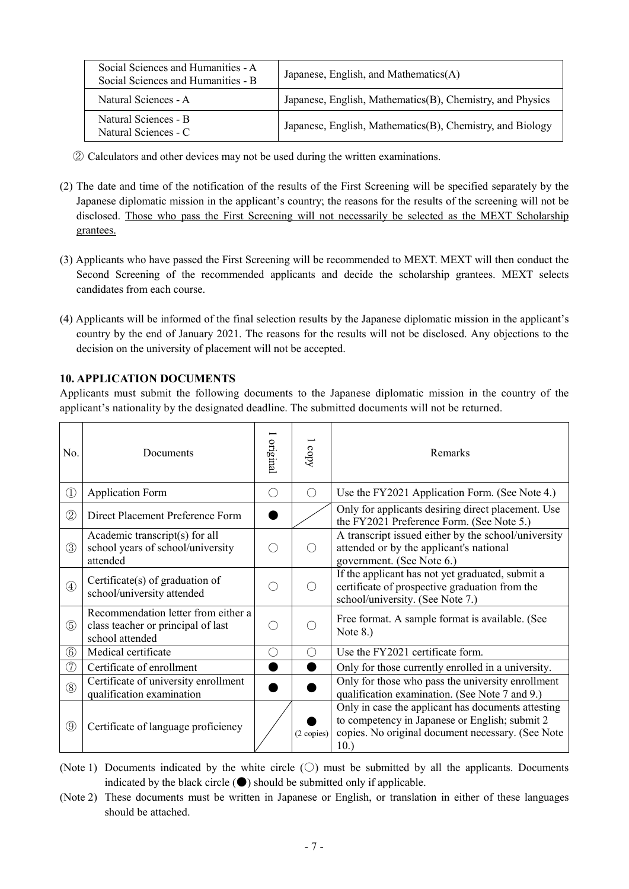| Social Sciences and Humanities - A<br>Social Sciences and Humanities - B | Japanese, English, and Mathematics(A)                     |  |  |
|--------------------------------------------------------------------------|-----------------------------------------------------------|--|--|
| Natural Sciences - A                                                     | Japanese, English, Mathematics(B), Chemistry, and Physics |  |  |
| Natural Sciences - B<br>Natural Sciences - C                             | Japanese, English, Mathematics(B), Chemistry, and Biology |  |  |

② Calculators and other devices may not be used during the written examinations.

- (2) The date and time of the notification of the results of the First Screening will be specified separately by the Japanese diplomatic mission in the applicant's country; the reasons for the results of the screening will not be disclosed. Those who pass the First Screening will not necessarily be selected as the MEXT Scholarship grantees.
- (3) Applicants who have passed the First Screening will be recommended to MEXT. MEXT will then conduct the Second Screening of the recommended applicants and decide the scholarship grantees. MEXT selects candidates from each course.
- (4) Applicants will be informed of the final selection results by the Japanese diplomatic mission in the applicant's country by the end of January 2021. The reasons for the results will not be disclosed. Any objections to the decision on the university of placement will not be accepted.

# **10. APPLICATION DOCUMENTS**

Applicants must submit the following documents to the Japanese diplomatic mission in the country of the applicant's nationality by the designated deadline. The submitted documents will not be returned.

| No.                            | Documents                                                                                    | original | copy       | Remarks                                                                                                                                                          |
|--------------------------------|----------------------------------------------------------------------------------------------|----------|------------|------------------------------------------------------------------------------------------------------------------------------------------------------------------|
| $\textcircled{\scriptsize{1}}$ | <b>Application Form</b>                                                                      | $(\ )$   | $(\ )$     | Use the FY2021 Application Form. (See Note 4.)                                                                                                                   |
| $\circled{2}$                  | Direct Placement Preference Form                                                             |          |            | Only for applicants desiring direct placement. Use<br>the FY2021 Preference Form. (See Note 5.)                                                                  |
| $\circled{3}$                  | Academic transcript(s) for all<br>school years of school/university<br>attended              |          |            | A transcript issued either by the school/university<br>attended or by the applicant's national<br>government. (See Note 6.)                                      |
| $\circled{4}$                  | Certificate $(s)$ of graduation of<br>school/university attended                             | ( )      |            | If the applicant has not yet graduated, submit a<br>certificate of prospective graduation from the<br>school/university. (See Note 7.)                           |
| $\circledS$                    | Recommendation letter from either a<br>class teacher or principal of last<br>school attended | ( )      |            | Free format. A sample format is available. (See<br>Note $8.$ )                                                                                                   |
| $\circled6$                    | Medical certificate                                                                          | ()       |            | Use the FY2021 certificate form.                                                                                                                                 |
| (7)                            | Certificate of enrollment                                                                    |          |            | Only for those currently enrolled in a university.                                                                                                               |
| (8)                            | Certificate of university enrollment<br>qualification examination                            |          |            | Only for those who pass the university enrollment<br>qualification examination. (See Note 7 and 9.)                                                              |
| $\circled{9}$                  | Certificate of language proficiency                                                          |          | (2 copies) | Only in case the applicant has documents attesting<br>to competency in Japanese or English; submit 2<br>copies. No original document necessary. (See Note<br>10. |

(Note 1) Documents indicated by the white circle  $(\bigcirc)$  must be submitted by all the applicants. Documents indicated by the black circle  $\left( \bullet \right)$  should be submitted only if applicable.

(Note 2) These documents must be written in Japanese or English, or translation in either of these languages should be attached.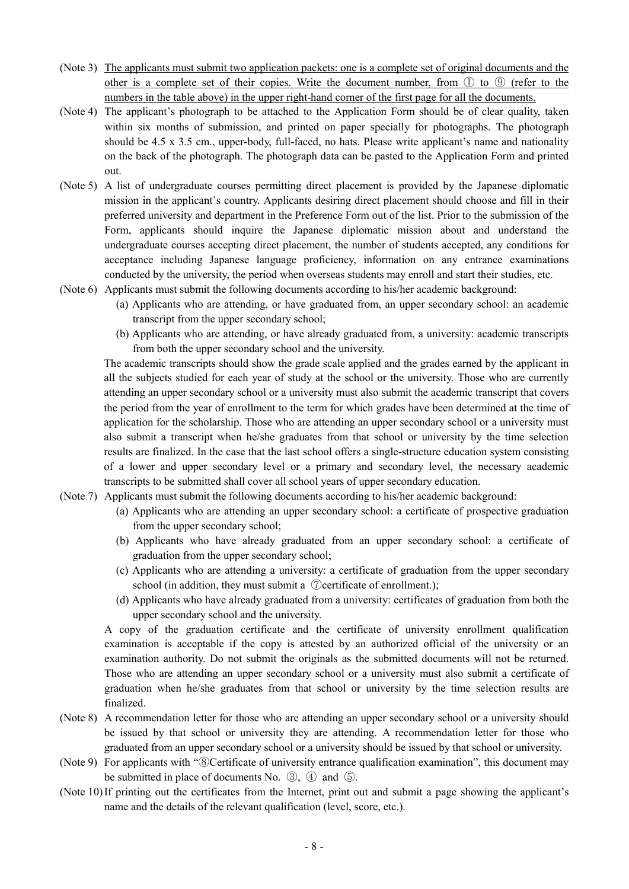- (Note 3) The applicants must submit two application packets: one is a complete set of original documents and the other is a complete set of their copies. Write the document number, from ① to ⑨ (refer to the numbers in the table above) in the upper right-hand corner of the first page for all the documents.
- (Note 4) The applicant's photograph to be attached to the Application Form should be of clear quality, taken within six months of submission, and printed on paper specially for photographs. The photograph should be 4.5 x 3.5 cm., upper-body, full-faced, no hats. Please write applicant's name and nationality on the back of the photograph. The photograph data can be pasted to the Application Form and printed out.
- (Note 5) A list of undergraduate courses permitting direct placement is provided by the Japanese diplomatic mission in the applicant's country. Applicants desiring direct placement should choose and fill in their preferred university and department in the Preference Form out of the list. Prior to the submission of the Form, applicants should inquire the Japanese diplomatic mission about and understand the undergraduate courses accepting direct placement, the number of students accepted, any conditions for acceptance including Japanese language proficiency, information on any entrance examinations conducted by the university, the period when overseas students may enroll and start their studies, etc.
- (Note 6) Applicants must submit the following documents according to his/her academic background:
	- (a) Applicants who are attending, or have graduated from, an upper secondary school: an academic transcript from the upper secondary school;
	- (b) Applicants who are attending, or have already graduated from, a university: academic transcripts from both the upper secondary school and the university.

The academic transcripts should show the grade scale applied and the grades earned by the applicant in all the subjects studied for each year of study at the school or the university. Those who are currently attending an upper secondary school or a university must also submit the academic transcript that covers the period from the year of enrollment to the term for which grades have been determined at the time of application for the scholarship. Those who are attending an upper secondary school or a university must also submit a transcript when he/she graduates from that school or university by the time selection results are finalized. In the case that the last school offers a single-structure education system consisting of a lower and upper secondary level or a primary and secondary level, the necessary academic transcripts to be submitted shall cover all school years of upper secondary education.

- (Note 7) Applicants must submit the following documents according to his/her academic background:
	- (a) Applicants who are attending an upper secondary school: a certificate of prospective graduation from the upper secondary school;
	- (b) Applicants who have already graduated from an upper secondary school: a certificate of graduation from the upper secondary school;
	- (c) Applicants who are attending a university: a certificate of graduation from the upper secondary school (in addition, they must submit a  $\circ$ ) certificate of enrollment.);
	- (d) Applicants who have already graduated from a university: certificates of graduation from both the upper secondary school and the university.

A copy of the graduation certificate and the certificate of university enrollment qualification examination is acceptable if the copy is attested by an authorized official of the university or an examination authority. Do not submit the originals as the submitted documents will not be returned. Those who are attending an upper secondary school or a university must also submit a certificate of graduation when he/she graduates from that school or university by the time selection results are finalized.

- (Note 8) A recommendation letter for those who are attending an upper secondary school or a university should be issued by that school or university they are attending. A recommendation letter for those who graduated from an upper secondary school or a university should be issued by that school or university.
- (Note 9) For applicants with "⑧Certificate of university entrance qualification examination", this document may be submitted in place of documents No. ③, ④ and ⑤.
- (Note 10)If printing out the certificates from the Internet, print out and submit a page showing the applicant's name and the details of the relevant qualification (level, score, etc.).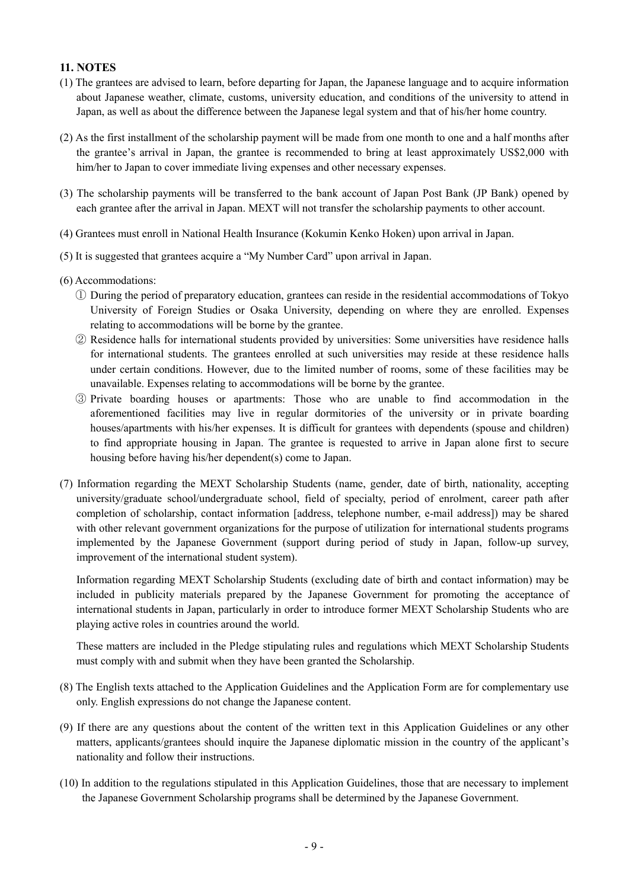### **11. NOTES**

- (1) The grantees are advised to learn, before departing for Japan, the Japanese language and to acquire information about Japanese weather, climate, customs, university education, and conditions of the university to attend in Japan, as well as about the difference between the Japanese legal system and that of his/her home country.
- (2) As the first installment of the scholarship payment will be made from one month to one and a half months after the grantee's arrival in Japan, the grantee is recommended to bring at least approximately US\$2,000 with him/her to Japan to cover immediate living expenses and other necessary expenses.
- (3) The scholarship payments will be transferred to the bank account of Japan Post Bank (JP Bank) opened by each grantee after the arrival in Japan. MEXT will not transfer the scholarship payments to other account.
- (4) Grantees must enroll in National Health Insurance (Kokumin Kenko Hoken) upon arrival in Japan.
- (5) It is suggested that grantees acquire a "My Number Card" upon arrival in Japan.
- (6) Accommodations:
	- ① During the period of preparatory education, grantees can reside in the residential accommodations of Tokyo University of Foreign Studies or Osaka University, depending on where they are enrolled. Expenses relating to accommodations will be borne by the grantee.
	- ② Residence halls for international students provided by universities: Some universities have residence halls for international students. The grantees enrolled at such universities may reside at these residence halls under certain conditions. However, due to the limited number of rooms, some of these facilities may be unavailable. Expenses relating to accommodations will be borne by the grantee.
	- ③ Private boarding houses or apartments: Those who are unable to find accommodation in the aforementioned facilities may live in regular dormitories of the university or in private boarding houses/apartments with his/her expenses. It is difficult for grantees with dependents (spouse and children) to find appropriate housing in Japan. The grantee is requested to arrive in Japan alone first to secure housing before having his/her dependent(s) come to Japan.
- (7) Information regarding the MEXT Scholarship Students (name, gender, date of birth, nationality, accepting university/graduate school/undergraduate school, field of specialty, period of enrolment, career path after completion of scholarship, contact information [address, telephone number, e-mail address]) may be shared with other relevant government organizations for the purpose of utilization for international students programs implemented by the Japanese Government (support during period of study in Japan, follow-up survey, improvement of the international student system).

Information regarding MEXT Scholarship Students (excluding date of birth and contact information) may be included in publicity materials prepared by the Japanese Government for promoting the acceptance of international students in Japan, particularly in order to introduce former MEXT Scholarship Students who are playing active roles in countries around the world.

These matters are included in the Pledge stipulating rules and regulations which MEXT Scholarship Students must comply with and submit when they have been granted the Scholarship.

- (8) The English texts attached to the Application Guidelines and the Application Form are for complementary use only. English expressions do not change the Japanese content.
- (9) If there are any questions about the content of the written text in this Application Guidelines or any other matters, applicants/grantees should inquire the Japanese diplomatic mission in the country of the applicant's nationality and follow their instructions.
- (10) In addition to the regulations stipulated in this Application Guidelines, those that are necessary to implement the Japanese Government Scholarship programs shall be determined by the Japanese Government.